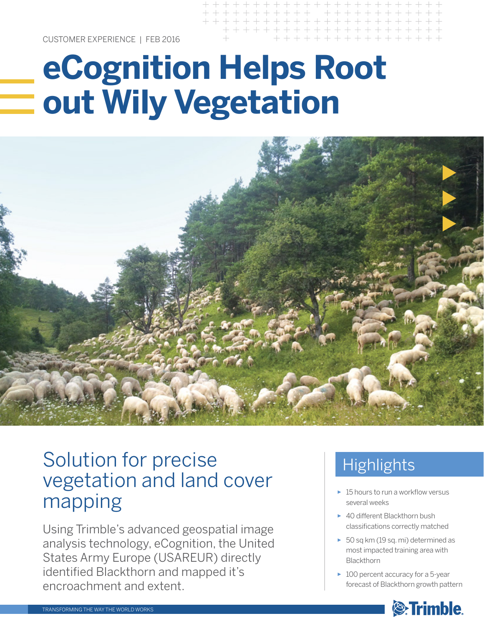CUSTOMER EXPERIENCE | FEB 2016

# **eCognition Helps Root out Wily Vegetation**



## Solution for precise vegetation and land cover mapping

Using Trimble's advanced geospatial image analysis technology, eCognition, the United States Army Europe (USAREUR) directly identified Blackthorn and mapped it's encroachment and extent.

## **Highlights**

+ + + + + + + + + + + + +

- ► 15 hours to run a workflow versus several weeks
- ► 40 different Blackthorn bush classifications correctly matched
- ► 50 sq km (19 sq. mi) determined as most impacted training area with Blackthorn
- ► 100 percent accuracy for a 5-year forecast of Blackthorn growth pattern

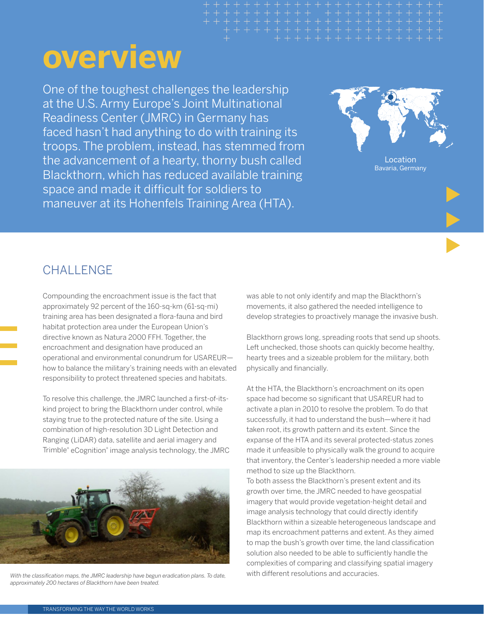# **overview**

One of the toughest challenges the leadership at the U.S. Army Europe's Joint Multinational Readiness Center (JMRC) in Germany has faced hasn't had anything to do with training its troops. The problem, instead, has stemmed from the advancement of a hearty, thorny bush called Blackthorn, which has reduced available training space and made it difficult for soldiers to maneuver at its Hohenfels Training Area (HTA).



Bavaria, Germany

## **CHALLENGE**

Compounding the encroachment issue is the fact that approximately 92 percent of the 160-sq-km (61-sq-mi) training area has been designated a flora-fauna and bird habitat protection area under the European Union's directive known as Natura 2000 FFH. Together, the encroachment and designation have produced an operational and environmental conundrum for USAREUR how to balance the military's training needs with an elevated responsibility to protect threatened species and habitats.

To resolve this challenge, the JMRC launched a first-of-itskind project to bring the Blackthorn under control, while staying true to the protected nature of the site. Using a combination of high-resolution 3D Light Detection and Ranging (LiDAR) data, satellite and aerial imagery and Trimble® eCognition® image analysis technology, the JMRC



*With the classification maps, the JMRC leadership have begun eradication plans. To date, approximately 200 hectares of Blackthorn have been treated.*

was able to not only identify and map the Blackthorn's movements, it also gathered the needed intelligence to develop strategies to proactively manage the invasive bush.

Blackthorn grows long, spreading roots that send up shoots. Left unchecked, those shoots can quickly become healthy, hearty trees and a sizeable problem for the military, both physically and financially.

At the HTA, the Blackthorn's encroachment on its open space had become so significant that USAREUR had to activate a plan in 2010 to resolve the problem. To do that successfully, it had to understand the bush—where it had taken root, its growth pattern and its extent. Since the expanse of the HTA and its several protected-status zones made it unfeasible to physically walk the ground to acquire that inventory, the Center's leadership needed a more viable method to size up the Blackthorn.

To both assess the Blackthorn's present extent and its growth over time, the JMRC needed to have geospatial imagery that would provide vegetation-height detail and image analysis technology that could directly identify Blackthorn within a sizeable heterogeneous landscape and map its encroachment patterns and extent. As they aimed to map the bush's growth over time, the land classification solution also needed to be able to sufficiently handle the complexities of comparing and classifying spatial imagery with different resolutions and accuracies.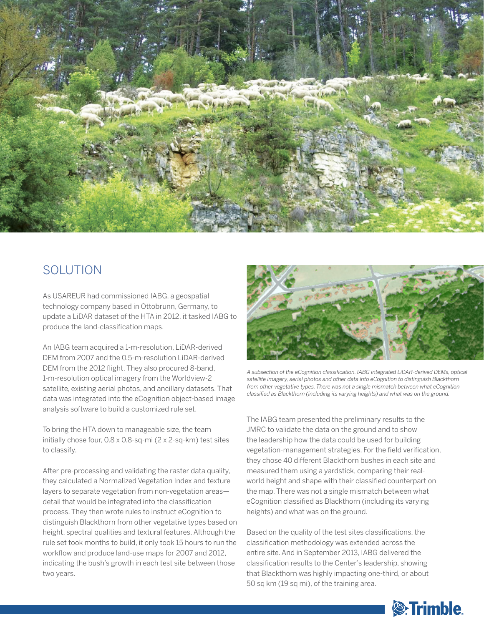

### **SOLUTION**

As USAREUR had commissioned IABG, a geospatial technology company based in Ottobrunn, Germany, to update a LiDAR dataset of the HTA in 2012, it tasked IABG to produce the land-classification maps.

An IABG team acquired a 1-m-resolution, LiDAR-derived DEM from 2007 and the 0.5-m-resolution LiDAR-derived DEM from the 2012 flight. They also procured 8-band, 1-m-resolution optical imagery from the Worldview-2 satellite, existing aerial photos, and ancillary datasets. That data was integrated into the eCognition object-based image analysis software to build a customized rule set.

To bring the HTA down to manageable size, the team initially chose four, 0.8 x 0.8-sq-mi (2 x 2-sq-km) test sites to classify.

After pre-processing and validating the raster data quality, they calculated a Normalized Vegetation Index and texture layers to separate vegetation from non-vegetation areas detail that would be integrated into the classification process. They then wrote rules to instruct eCognition to distinguish Blackthorn from other vegetative types based on height, spectral qualities and textural features. Although the rule set took months to build, it only took 15 hours to run the workflow and produce land-use maps for 2007 and 2012, indicating the bush's growth in each test site between those two years.



*A subsection of the eCognition classification. IABG integrated LiDAR-derived DEMs, optical satellite imagery, aerial photos and other data into eCognition to distinguish Blackthorn from other vegetative types. There was not a single mismatch between what eCognition classified as Blackthorn (including its varying heights) and what was on the ground.* 

The IABG team presented the preliminary results to the JMRC to validate the data on the ground and to show the leadership how the data could be used for building vegetation-management strategies. For the field verification, they chose 40 different Blackthorn bushes in each site and measured them using a yardstick, comparing their realworld height and shape with their classified counterpart on the map. There was not a single mismatch between what eCognition classified as Blackthorn (including its varying heights) and what was on the ground.

Based on the quality of the test sites classifications, the classification methodology was extended across the entire site. And in September 2013, IABG delivered the classification results to the Center's leadership, showing that Blackthorn was highly impacting one-third, or about 50 sq km (19 sq mi), of the training area.